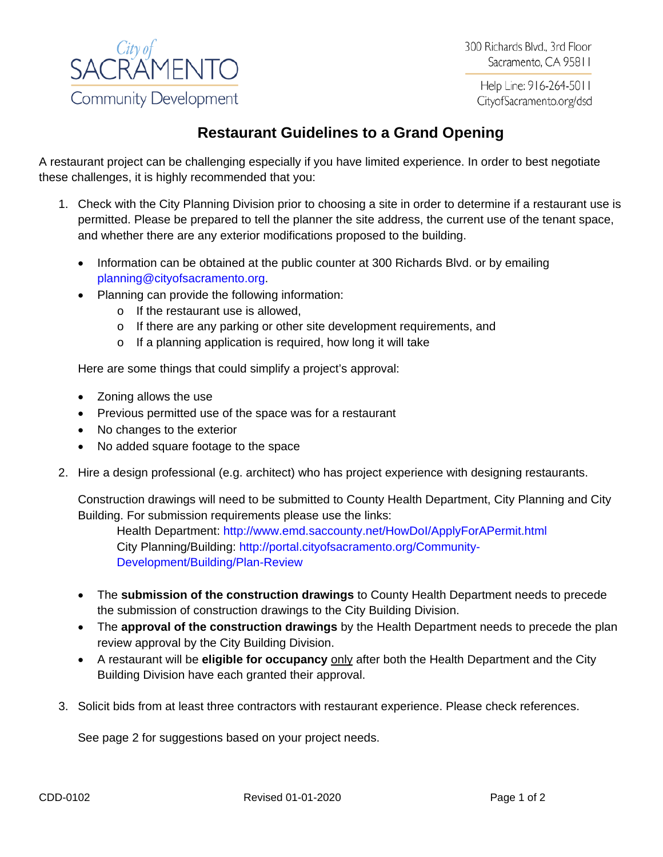

300 Richards Blvd., 3rd Floor Sacramento, CA 95811

Help Line: 916-264-5011 CityofSacramento.org/dsd

## **Restaurant Guidelines to a Grand Opening**

A restaurant project can be challenging especially if you have limited experience. In order to best negotiate these challenges, it is highly recommended that you:

- 1. Check with the City Planning Division prior to choosing a site in order to determine if a restaurant use is permitted. Please be prepared to tell the planner the site address, the current use of the tenant space, and whether there are any exterior modifications proposed to the building.
	- Information can be obtained at the public counter at 300 Richards Blvd. or by emailing [planning@cityofsacramento.org.](mailto:planning@cityofsacramento.org)
	- Planning can provide the following information:
		- o If the restaurant use is allowed,
		- o If there are any parking or other site development requirements, and
		- o If a planning application is required, how long it will take

Here are some things that could simplify a project's approval:

- Zoning allows the use
- Previous permitted use of the space was for a restaurant
- No changes to the exterior
- No added square footage to the space
- 2. Hire a design professional (e.g. architect) who has project experience with designing restaurants.

Construction drawings will need to be submitted to County Health Department, City Planning and City Building. For submission requirements please use the links:

Health Department:<http://www.emd.saccounty.net/HowDoI/ApplyForAPermit.html> City Planning/Building: [http://portal.cityofsacramento.org/Community-](http://portal.cityofsacramento.org/Community-Development/Building/Plan-Review)[Development/Building/Plan-Review](http://portal.cityofsacramento.org/Community-Development/Building/Plan-Review)

- The **submission of the construction drawings** to County Health Department needs to precede the submission of construction drawings to the City Building Division.
- The **approval of the construction drawings** by the Health Department needs to precede the plan review approval by the City Building Division.
- A restaurant will be **eligible for occupancy** only after both the Health Department and the City Building Division have each granted their approval.
- 3. Solicit bids from at least three contractors with restaurant experience. Please check references.

See page 2 for suggestions based on your project needs.